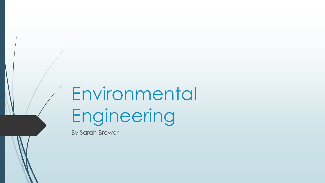# Environmental Engineering

By Sarah Brewer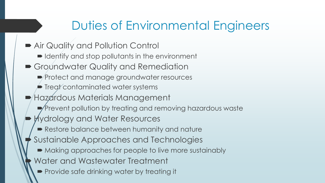## Duties of Environmental Engineers

■ Air Quality and Pollution Control  $\blacksquare$  Identify and stop pollutants in the environment Groundwater Quality and Remediation Protect and manage groundwater resources  $\blacktriangleright$  Treat contaminated water systems Hazardous Materials Management Prevent pollution by treating and removing hazardous waste Hydrology and Water Resources Restore balance between humanity and nature Sustainable Approaches and Technologies  $\blacktriangleright$  Making approaches for people to live more sustainably Water and Wastewater Treatment **Provide safe drinking water by treating it**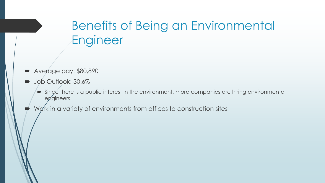## Benefits of Being an Environmental Engineer

- Average pay: \$80,890
- **Job Outlook: 30.6%** 
	- $\blacktriangleright$  Since there is a public interest in the environment, more companies are hiring environmental engineers.
- Work in a variety of environments from offices to construction sites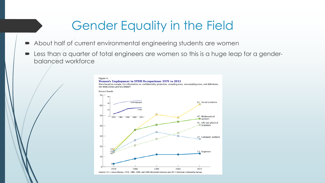### Gender Equality in the Field

- About half of current environmental engineering students are women
- Less than a quarter of total engineers are women so this is a huge leap for a genderbalanced workforce

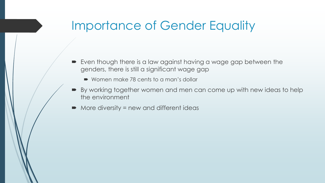### Importance of Gender Equality

- Even though there is a law against having a wage gap between the genders, there is still a significant wage gap
	- Women make 78 cents to a man's dollar
- By working together women and men can come up with new ideas to help the environment
- More diversity = new and different ideas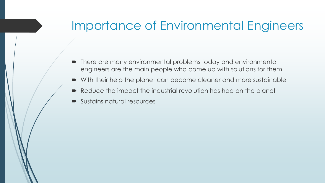#### Importance of Environmental Engineers

- There are many environmental problems today and environmental engineers are the main people who come up with solutions for them
- With their help the planet can become cleaner and more sustainable
- Reduce the impact the industrial revolution has had on the planet
- Sustains natural resources